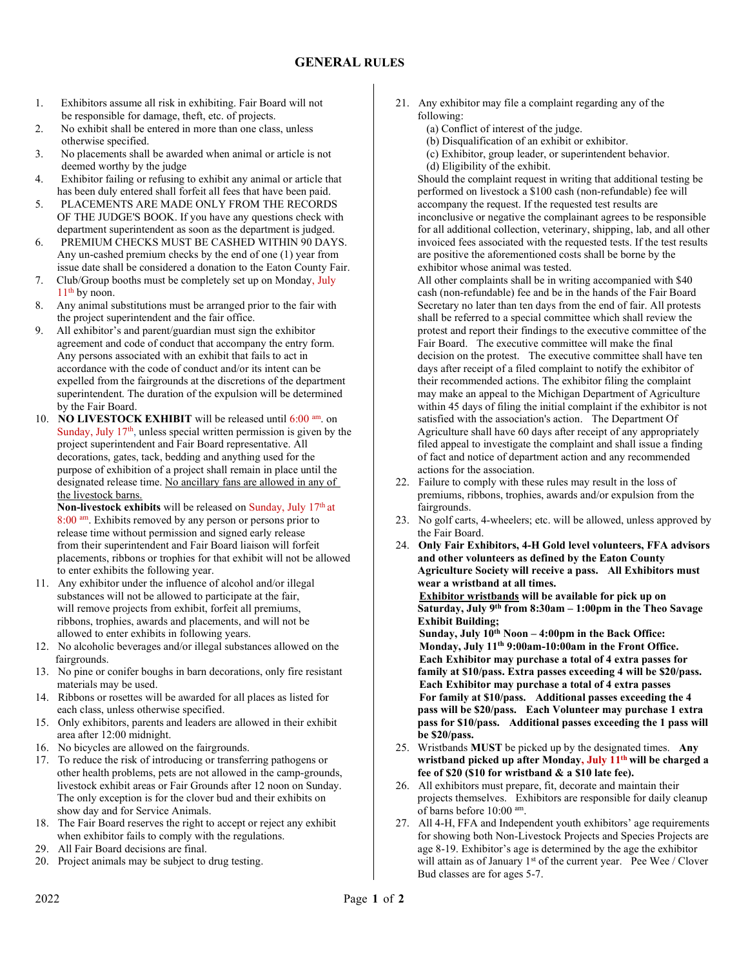- 1. Exhibitors assume all risk in exhibiting. Fair Board will not be responsible for damage, theft, etc. of projects.
- 2. No exhibit shall be entered in more than one class, unless otherwise specified.
- 3. No placements shall be awarded when animal or article is not deemed worthy by the judge
- 4. Exhibitor failing or refusing to exhibit any animal or article that has been duly entered shall forfeit all fees that have been paid.
- 5. PLACEMENTS ARE MADE ONLY FROM THE RECORDS OF THE JUDGE'S BOOK. If you have any questions check with department superintendent as soon as the department is judged.
- 6. PREMIUM CHECKS MUST BE CASHED WITHIN 90 DAYS. Any un-cashed premium checks by the end of one (1) year from issue date shall be considered a donation to the Eaton County Fair.
- 7. Club/Group booths must be completely set up on Monday, July  $11<sup>th</sup>$  by noon.
- 8. Any animal substitutions must be arranged prior to the fair with the project superintendent and the fair office.
- 9. All exhibitor's and parent/guardian must sign the exhibitor agreement and code of conduct that accompany the entry form. Any persons associated with an exhibit that fails to act in accordance with the code of conduct and/or its intent can be expelled from the fairgrounds at the discretions of the department superintendent. The duration of the expulsion will be determined by the Fair Board.
- 10. NO LIVESTOCK EXHIBIT will be released until 6:00 am. on Sunday, July  $17<sup>th</sup>$ , unless special written permission is given by the project superintendent and Fair Board representative. All decorations, gates, tack, bedding and anything used for the purpose of exhibition of a project shall remain in place until the designated release time. No ancillary fans are allowed in any of the livestock barns.

Non-livestock exhibits will be released on Sunday, July 17<sup>th</sup> at 8:00 am. Exhibits removed by any person or persons prior to release time without permission and signed early release from their superintendent and Fair Board liaison will forfeit placements, ribbons or trophies for that exhibit will not be allowed to enter exhibits the following year.

- 11. Any exhibitor under the influence of alcohol and/or illegal substances will not be allowed to participate at the fair, will remove projects from exhibit, forfeit all premiums, ribbons, trophies, awards and placements, and will not be allowed to enter exhibits in following years.
- 12. No alcoholic beverages and/or illegal substances allowed on the fairgrounds.
- 13. No pine or conifer boughs in barn decorations, only fire resistant materials may be used.
- 14. Ribbons or rosettes will be awarded for all places as listed for each class, unless otherwise specified.
- 15. Only exhibitors, parents and leaders are allowed in their exhibit area after 12:00 midnight.
- 16. No bicycles are allowed on the fairgrounds.
- 17. To reduce the risk of introducing or transferring pathogens or other health problems, pets are not allowed in the camp-grounds, livestock exhibit areas or Fair Grounds after 12 noon on Sunday. The only exception is for the clover bud and their exhibits on show day and for Service Animals.
- 18. The Fair Board reserves the right to accept or reject any exhibit when exhibitor fails to comply with the regulations.
- 29. All Fair Board decisions are final.
- 20. Project animals may be subject to drug testing.
- 21. Any exhibitor may file a complaint regarding any of the following:
	- (a) Conflict of interest of the judge.
	- (b) Disqualification of an exhibit or exhibitor.
	- (c) Exhibitor, group leader, or superintendent behavior.
	- (d) Eligibility of the exhibit.

Should the complaint request in writing that additional testing be performed on livestock a \$100 cash (non-refundable) fee will accompany the request. If the requested test results are inconclusive or negative the complainant agrees to be responsible for all additional collection, veterinary, shipping, lab, and all other invoiced fees associated with the requested tests. If the test results are positive the aforementioned costs shall be borne by the exhibitor whose animal was tested.

All other complaints shall be in writing accompanied with \$40 cash (non-refundable) fee and be in the hands of the Fair Board Secretary no later than ten days from the end of fair. All protests shall be referred to a special committee which shall review the protest and report their findings to the executive committee of the Fair Board. The executive committee will make the final decision on the protest. The executive committee shall have ten days after receipt of a filed complaint to notify the exhibitor of their recommended actions. The exhibitor filing the complaint may make an appeal to the Michigan Department of Agriculture within 45 days of filing the initial complaint if the exhibitor is not satisfied with the association's action. The Department Of Agriculture shall have 60 days after receipt of any appropriately filed appeal to investigate the complaint and shall issue a finding of fact and notice of department action and any recommended actions for the association.

- 22. Failure to comply with these rules may result in the loss of premiums, ribbons, trophies, awards and/or expulsion from the fairgrounds.
- 23. No golf carts, 4-wheelers; etc. will be allowed, unless approved by the Fair Board.
- 24. Only Fair Exhibitors, 4-H Gold level volunteers, FFA advisors and other volunteers as defined by the Eaton County Agriculture Society will receive a pass. All Exhibitors must wear a wristband at all times.

 Exhibitor wristbands will be available for pick up on Saturday, July 9th from 8:30am – 1:00pm in the Theo Savage Exhibit Building;

Sunday, July  $10^{th}$  Noon – 4:00pm in the Back Office: Monday, July 11th 9:00am-10:00am in the Front Office. Each Exhibitor may purchase a total of 4 extra passes for family at \$10/pass. Extra passes exceeding 4 will be \$20/pass. Each Exhibitor may purchase a total of 4 extra passes For family at \$10/pass. Additional passes exceeding the 4 pass will be \$20/pass. Each Volunteer may purchase 1 extra pass for \$10/pass. Additional passes exceeding the 1 pass will be \$20/pass.

- 25. Wristbands MUST be picked up by the designated times. Any wristband picked up after Monday, July 11<sup>th</sup> will be charged a fee of \$20 (\$10 for wristband & a \$10 late fee).
- 26. All exhibitors must prepare, fit, decorate and maintain their projects themselves. Exhibitors are responsible for daily cleanup of barns before 10:00 am.
- 27. All 4-H, FFA and Independent youth exhibitors' age requirements for showing both Non-Livestock Projects and Species Projects are age 8-19. Exhibitor's age is determined by the age the exhibitor will attain as of January 1<sup>st</sup> of the current year. Pee Wee / Clover Bud classes are for ages 5-7.